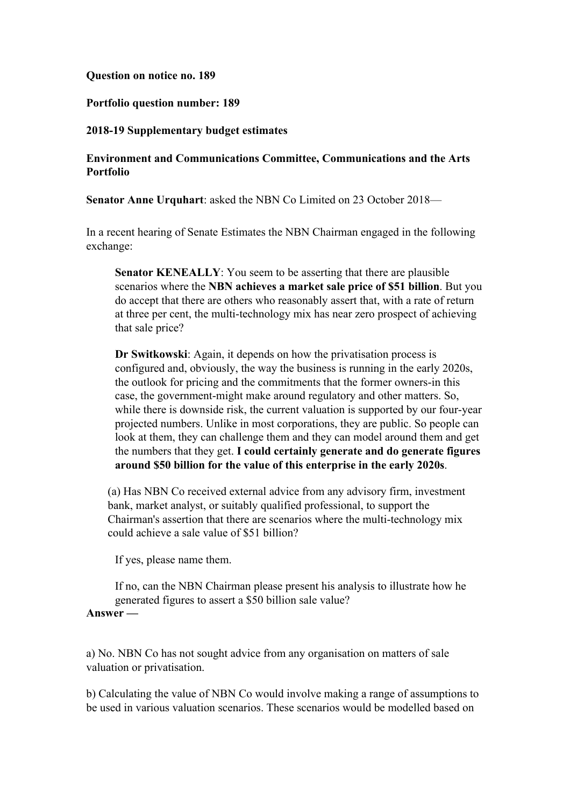## **Question on notice no. 189**

## **Portfolio question number: 189**

### **2018-19 Supplementary budget estimates**

# **Environment and Communications Committee, Communications and the Arts Portfolio**

**Senator Anne Urquhart**: asked the NBN Co Limited on 23 October 2018—

In a recent hearing of Senate Estimates the NBN Chairman engaged in the following exchange:

**Senator KENEALLY**: You seem to be asserting that there are plausible scenarios where the **NBN achieves a market sale price of \$51 billion**. But you do accept that there are others who reasonably assert that, with a rate of return at three per cent, the multi-technology mix has near zero prospect of achieving that sale price?

**Dr Switkowski**: Again, it depends on how the privatisation process is configured and, obviously, the way the business is running in the early 2020s, the outlook for pricing and the commitments that the former owners-in this case, the government-might make around regulatory and other matters. So, while there is downside risk, the current valuation is supported by our four-year projected numbers. Unlike in most corporations, they are public. So people can look at them, they can challenge them and they can model around them and get the numbers that they get. **I could certainly generate and do generate figures around \$50 billion for the value of this enterprise in the early 2020s**.

(a) Has NBN Co received external advice from any advisory firm, investment bank, market analyst, or suitably qualified professional, to support the Chairman's assertion that there are scenarios where the multi-technology mix could achieve a sale value of \$51 billion?

If yes, please name them.

If no, can the NBN Chairman please present his analysis to illustrate how he generated figures to assert a \$50 billion sale value? **Answer —**

# a) No. NBN Co has not sought advice from any organisation on matters of sale valuation or privatisation.

b) Calculating the value of NBN Co would involve making a range of assumptions to be used in various valuation scenarios. These scenarios would be modelled based on